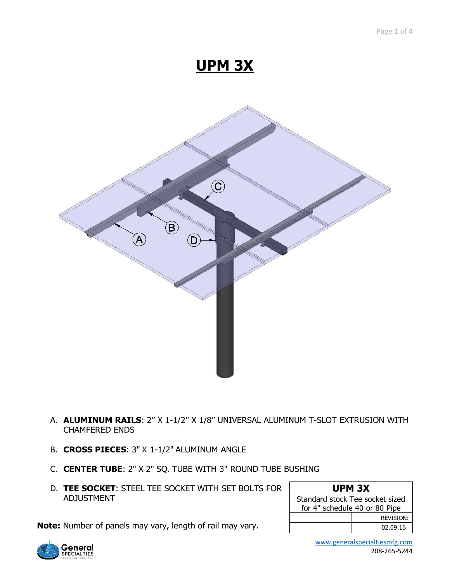# **UPM 3X**



- A. **ALUMINUM RAILS**: 2" X 1-1/2" X 1/8" UNIVERSAL ALUMINUM T-SLOT EXTRUSION WITH CHAMFERED ENDS
- B. **CROSS PIECES**: 3" X 1-1/2" ALUMINUM ANGLE

**Note:** Number of panels may vary, length of rail may vary.

- C. **CENTER TUBE**: 2" X 2" SQ. TUBE WITH 3" ROUND TUBE BUSHING
- D. **TEE SOCKET**: STEEL TEE SOCKET WITH SET BOLTS FOR ADJUSTMENT

#### **UPM 3X**

| Standard stock Tee socket sized |  |                  |  |  |  |  |
|---------------------------------|--|------------------|--|--|--|--|
| for 4" schedule 40 or 80 Pipe   |  |                  |  |  |  |  |
|                                 |  | <b>REVISION:</b> |  |  |  |  |
|                                 |  | 02.09.16         |  |  |  |  |

**General**<br>SPECIALTIES

 [www.generalspecialtiesmfg.com](http://www.generalspecialtiesmfg.com/) 208-265-5244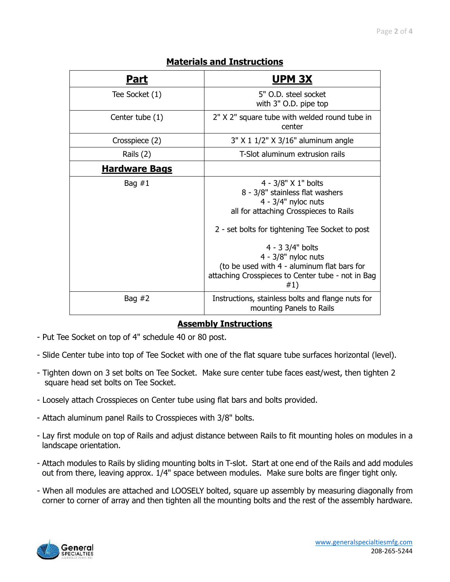| <u>Part</u>          | <u>UPM 3X</u>                                                                                                                                                                                                                                                                                                                        |  |  |
|----------------------|--------------------------------------------------------------------------------------------------------------------------------------------------------------------------------------------------------------------------------------------------------------------------------------------------------------------------------------|--|--|
| Tee Socket (1)       | 5" O.D. steel socket<br>with 3" O.D. pipe top                                                                                                                                                                                                                                                                                        |  |  |
| Center tube (1)      | 2" X 2" square tube with welded round tube in<br>center                                                                                                                                                                                                                                                                              |  |  |
| Crosspiece (2)       | 3" X 1 1/2" X 3/16" aluminum angle                                                                                                                                                                                                                                                                                                   |  |  |
| Rails (2)            | T-Slot aluminum extrusion rails                                                                                                                                                                                                                                                                                                      |  |  |
| <b>Hardware Bags</b> |                                                                                                                                                                                                                                                                                                                                      |  |  |
| Bag $#1$             | 4 - 3/8" X 1" bolts<br>8 - 3/8" stainless flat washers<br>$4 - 3/4"$ nyloc nuts<br>all for attaching Crosspieces to Rails<br>2 - set bolts for tightening Tee Socket to post<br>4 - 3 3/4" bolts<br>$4 - 3/8"$ nyloc nuts<br>(to be used with 4 - aluminum flat bars for<br>attaching Crosspieces to Center tube - not in Bag<br>#1) |  |  |
| Bag $#2$             | Instructions, stainless bolts and flange nuts for<br>mounting Panels to Rails                                                                                                                                                                                                                                                        |  |  |

#### **Materials and Instructions**

#### **Assembly Instructions**

- Put Tee Socket on top of 4" schedule 40 or 80 post.
- Slide Center tube into top of Tee Socket with one of the flat square tube surfaces horizontal (level).
- Tighten down on 3 set bolts on Tee Socket. Make sure center tube faces east/west, then tighten 2 square head set bolts on Tee Socket.
- Loosely attach Crosspieces on Center tube using flat bars and bolts provided.
- Attach aluminum panel Rails to Crosspieces with 3/8" bolts.
- Lay first module on top of Rails and adjust distance between Rails to fit mounting holes on modules in a landscape orientation.
- Attach modules to Rails by sliding mounting bolts in T-slot. Start at one end of the Rails and add modules out from there, leaving approx. 1/4" space between modules. Make sure bolts are finger tight only.
- When all modules are attached and LOOSELY bolted, square up assembly by measuring diagonally from corner to corner of array and then tighten all the mounting bolts and the rest of the assembly hardware.

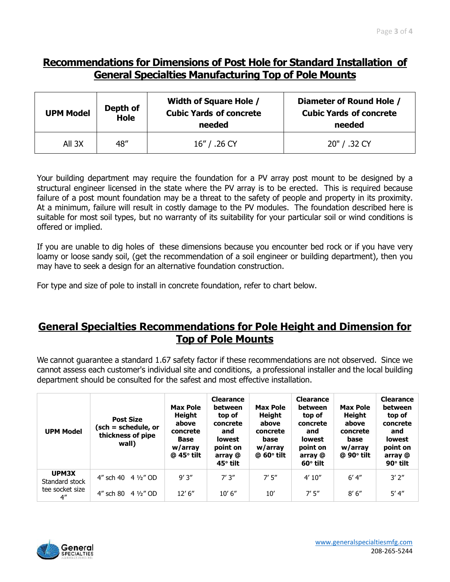## **Recommendations for Dimensions of Post Hole for Standard Installation of General Specialties Manufacturing Top of Pole Mounts**

| <b>UPM Model</b> | Depth of<br><b>Hole</b> | <b>Width of Square Hole /</b><br><b>Cubic Yards of concrete</b><br>needed | Diameter of Round Hole /<br><b>Cubic Yards of concrete</b><br>needed |  |  |
|------------------|-------------------------|---------------------------------------------------------------------------|----------------------------------------------------------------------|--|--|
| All 3X           | 48"                     | 16" / .26 CY                                                              | 20" / .32 CY                                                         |  |  |

Your building department may require the foundation for a PV array post mount to be designed by a structural engineer licensed in the state where the PV array is to be erected. This is required because failure of a post mount foundation may be a threat to the safety of people and property in its proximity. At a minimum, failure will result in costly damage to the PV modules. The foundation described here is suitable for most soil types, but no warranty of its suitability for your particular soil or wind conditions is offered or implied.

If you are unable to dig holes of these dimensions because you encounter bed rock or if you have very loamy or loose sandy soil, (get the recommendation of a soil engineer or building department), then you may have to seek a design for an alternative foundation construction.

For type and size of pole to install in concrete foundation, refer to chart below.

#### **General Specialties Recommendations for Pole Height and Dimension for Top of Pole Mounts**

We cannot guarantee a standard 1.67 safety factor if these recommendations are not observed. Since we cannot assess each customer's individual site and conditions, a professional installer and the local building department should be consulted for the safest and most effective installation.

| <b>UPM Model</b>                      | <b>Post Size</b><br>(sch = schedule, or<br>thickness of pipe<br>wall) | <b>Max Pole</b><br>Height<br>above<br>concrete<br><b>Base</b><br>w/array<br>$@$ 45 $^{\circ}$ tilt | <b>Clearance</b><br>between<br>top of<br>concrete<br>and<br><b>lowest</b><br>point on<br>array @<br>45° tilt | <b>Max Pole</b><br>Height<br>above<br>concrete<br>base<br>w/array<br>$@$ 60 $°$ tilt | <b>Clearance</b><br>between<br>top of<br>concrete<br>and<br><b>lowest</b><br>point on<br>array @<br>$60^\circ$ tilt | <b>Max Pole</b><br><b>Height</b><br>above<br>concrete<br>base<br>w/array<br>$@$ 90 $^{\circ}$ tilt | <b>Clearance</b><br>between<br>top of<br>concrete<br>and<br><b>lowest</b><br>point on<br>array @<br>$90^\circ$ tilt |
|---------------------------------------|-----------------------------------------------------------------------|----------------------------------------------------------------------------------------------------|--------------------------------------------------------------------------------------------------------------|--------------------------------------------------------------------------------------|---------------------------------------------------------------------------------------------------------------------|----------------------------------------------------------------------------------------------------|---------------------------------------------------------------------------------------------------------------------|
| UPM3X<br>Standard stock               | 4" sch 40 $4\frac{1}{2}$ " OD                                         | 9'3''                                                                                              | 7'3''                                                                                                        | 7'5''                                                                                | 4'10''                                                                                                              | $6'$ 4"                                                                                            | 3'2''                                                                                                               |
| tee socket size<br>$4^{\prime\prime}$ | 4" sch 80 $4\frac{1}{2}$ " OD                                         | 12' 6''                                                                                            | 10' 6''                                                                                                      | 10'                                                                                  | 7'5''                                                                                                               | 8'6''                                                                                              | 5' 4''                                                                                                              |